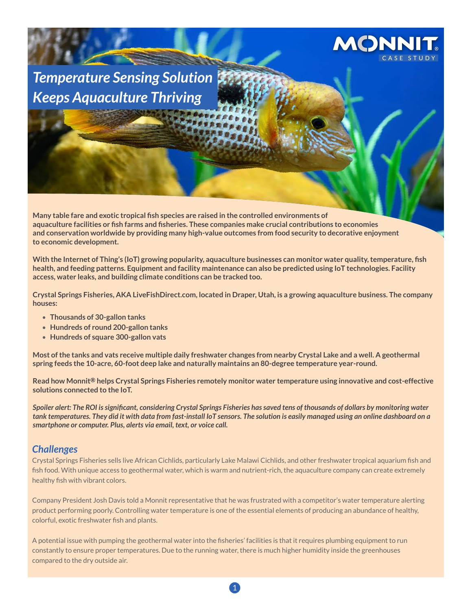

*Temperature Sensing Solution Keeps Aquaculture Thriving*

**Many table fare and exotic tropical fish species are raised in the controlled environments of aquaculture facilities or fish farms and fisheries. These companies make crucial contributions to economies and conservation worldwide by providing many high-value outcomes from food security to decorative enjoyment to economic development.** 

**With the Internet of Thing's (IoT) growing popularity, aquaculture businesses can monitor water quality, temperature, fish health, and feeding patterns. Equipment and facility maintenance can also be predicted using IoT technologies. Facility access, water leaks, and building climate conditions can be tracked too.** 

**Crystal Springs Fisheries, AKA LiveFishDirect.com, located in Draper, Utah, is a growing aquaculture business. The company houses:** 

- **Thousands of 30-gallon tanks**
- **Hundreds of round 200-gallon tanks**
- **Hundreds of square 300-gallon vats**

**Most of the tanks and vats receive multiple daily freshwater changes from nearby Crystal Lake and a well. A geothermal spring feeds the 10-acre, 60-foot deep lake and naturally maintains an 80-degree temperature year-round.**

**Read how Monnit® helps Crystal Springs Fisheries remotely monitor water temperature using innovative and cost-effective solutions connected to the IoT.**

*Spoiler alert: The ROI is significant, considering Crystal Springs Fisheries has saved tens of thousands of dollars by monitoring water tank temperatures. They did it with data from fast-install IoT sensors. The solution is easily managed using an online dashboard on a smartphone or computer. Plus, alerts via email, text, or voice call.*

# *Challenges*

Crystal Springs Fisheries sells live African Cichlids, particularly Lake Malawi Cichlids, and other freshwater tropical aquarium fish and fish food. With unique access to geothermal water, which is warm and nutrient-rich, the aquaculture company can create extremely healthy fish with vibrant colors.

Company President Josh Davis told a Monnit representative that he was frustrated with a competitor's water temperature alerting product performing poorly. Controlling water temperature is one of the essential elements of producing an abundance of healthy, colorful, exotic freshwater fish and plants.

A potential issue with pumping the geothermal water into the fisheries' facilities is that it requires plumbing equipment to run constantly to ensure proper temperatures. Due to the running water, there is much higher humidity inside the greenhouses compared to the dry outside air.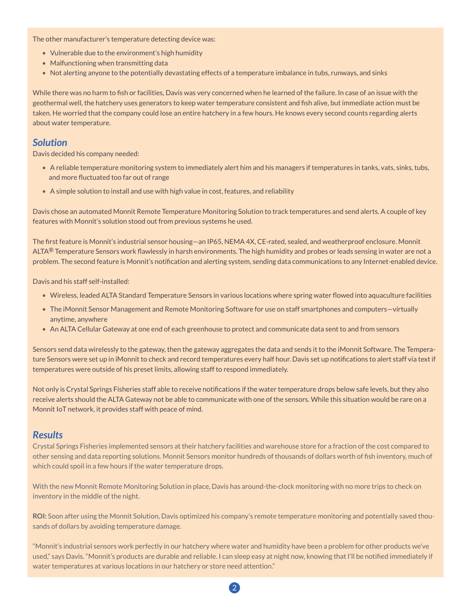The other manufacturer's temperature detecting device was:

- Vulnerable due to the environment's high humidity
- Malfunctioning when transmitting data
- Not alerting anyone to the potentially devastating effects of a temperature imbalance in tubs, runways, and sinks

While there was no harm to fish or facilities, Davis was very concerned when he learned of the failure. In case of an issue with the geothermal well, the hatchery uses generators to keep water temperature consistent and fish alive, but immediate action must be taken. He worried that the company could lose an entire hatchery in a few hours. He knows every second counts regarding alerts about water temperature.

## *Solution*

Davis decided his company needed:

- A reliable temperature monitoring system to immediately alert him and his managers if temperatures in tanks, vats, sinks, tubs, and more fluctuated too far out of range
- A simple solution to install and use with high value in cost, features, and reliability

Davis chose an automated Monnit Remote Temperature Monitoring Solution to track temperatures and send alerts. A couple of key features with Monnit's solution stood out from previous systems he used.

The first feature is Monnit's industrial sensor housing—an IP65, NEMA 4X, CE-rated, sealed, and weatherproof enclosure. Monnit ALTA® Temperature Sensors work flawlessly in harsh environments. The high humidity and probes or leads sensing in water are not a problem. The second feature is Monnit's notification and alerting system, sending data communications to any Internet-enabled device.

Davis and his staff self-installed:

- Wireless, leaded ALTA Standard Temperature Sensors in various locations where spring water flowed into aquaculture facilities
- The iMonnit Sensor Management and Remote Monitoring Software for use on staff smartphones and computers—virtually anytime, anywhere
- An ALTA Cellular Gateway at one end of each greenhouse to protect and communicate data sent to and from sensors

Sensors send data wirelessly to the gateway, then the gateway aggregates the data and sends it to the iMonnit Software. The Temperature Sensors were set up in iMonnit to check and record temperatures every half hour. Davis set up notifications to alert staff via text if temperatures were outside of his preset limits, allowing staff to respond immediately.

Not only is Crystal Springs Fisheries staff able to receive notifications if the water temperature drops below safe levels, but they also receive alerts should the ALTA Gateway not be able to communicate with one of the sensors. While this situation would be rare on a Monnit IoT network, it provides staff with peace of mind.

### *Results*

Crystal Springs Fisheries implemented sensors at their hatchery facilities and warehouse store for a fraction of the cost compared to other sensing and data reporting solutions. Monnit Sensors monitor hundreds of thousands of dollars worth of fish inventory, much of which could spoil in a few hours if the water temperature drops.

With the new Monnit Remote Monitoring Solution in place, Davis has around-the-clock monitoring with no more trips to check on inventory in the middle of the night.

**ROI:** Soon after using the Monnit Solution, Davis optimized his company's remote temperature monitoring and potentially saved thousands of dollars by avoiding temperature damage.

"Monnit's industrial sensors work perfectly in our hatchery where water and humidity have been a problem for other products we've used," says Davis. "Monnit's products are durable and reliable. I can sleep easy at night now, knowing that I'll be notified immediately if water temperatures at various locations in our hatchery or store need attention."

2